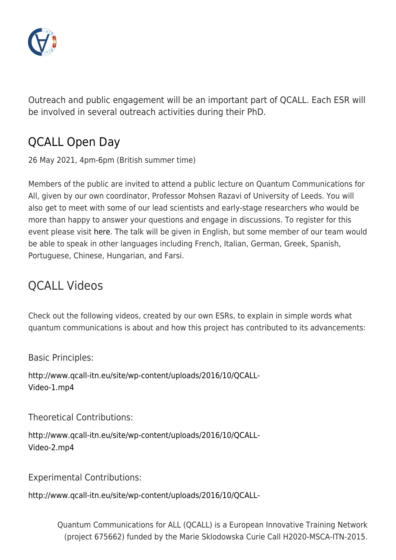

Outreach and public engagement will be an important part of QCALL. Each ESR will be involved in several outreach activities during their PhD.

## [QCALL Open Day](http://www.qcall-itn.eu/openday/)

26 May 2021, 4pm-6pm (British summer time)

Members of the public are invited to attend a public lecture on Quantum Communications for All, given by our own coordinator, Professor Mohsen Razavi of University of Leeds. You will also get to meet with some of our lead scientists and early-stage researchers who would be more than happy to answer your questions and engage in discussions. To register for this event please visit [here.](http://www.qcall-itn.eu/openday/) The talk will be given in English, but some member of our team would be able to speak in other languages including French, Italian, German, Greek, Spanish, Portuguese, Chinese, Hungarian, and Farsi.

## QCALL Videos

Check out the following videos, created by our own ESRs, to explain in simple words what quantum communications is about and how this project has contributed to its advancements:

Basic Principles:

[http://www.qcall-itn.eu/site/wp-content/uploads/2016/10/QCALL-](http://www.qcall-itn.eu/site/wp-content/uploads/2016/10/QCALL-Video-1.mp4)[Video-1.mp4](http://www.qcall-itn.eu/site/wp-content/uploads/2016/10/QCALL-Video-1.mp4)

Theoretical Contributions:

[http://www.qcall-itn.eu/site/wp-content/uploads/2016/10/QCALL-](http://www.qcall-itn.eu/site/wp-content/uploads/2016/10/QCALL-Video-2.mp4)[Video-2.mp4](http://www.qcall-itn.eu/site/wp-content/uploads/2016/10/QCALL-Video-2.mp4)

Experimental Contributions:

[http://www.qcall-itn.eu/site/wp-content/uploads/2016/10/QCALL-](http://www.qcall-itn.eu/site/wp-content/uploads/2016/10/QCALL-Video-3.mp4)

Quantum Communications for ALL (QCALL) is a European Innovative Training Network (project 675662) funded by the Marie Sklodowska Curie Call H2020-MSCA-ITN-2015.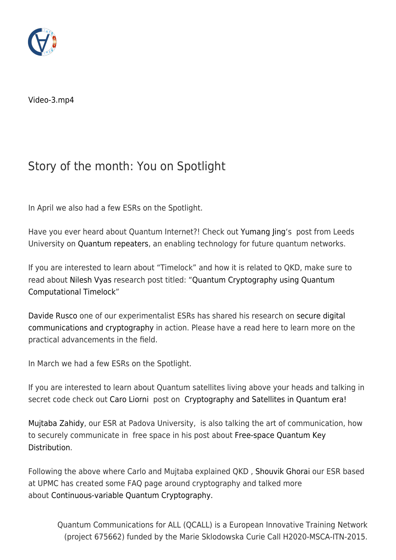

[Video-3.mp4](http://www.qcall-itn.eu/site/wp-content/uploads/2016/10/QCALL-Video-3.mp4)

## Story of the month: You on Spotlight

In April we also had a few ESRs on the Spotlight.

Have you ever heard about Quantum Internet?! Check out [Yumang Jing'](http://www.qcall-itn.eu/yumang-jing/)s post from Leeds University on [Quantum repeaters](http://www.qcall-itn.eu/2021/03/01/story-of-the-month-quantum-key-distribution-over-quantum-repeaters-with-encoding/), an enabling technology for future quantum networks.

If you are interested to learn about "Timelock" and how it is related to QKD, make sure to read about [Nilesh Vyas](http://www.qcall-itn.eu/people/early-stage-researchers/nilesh-vyas/) research post titled: ["Quantum Cryptography using Quantum](http://www.qcall-itn.eu/2021/06/24/story-of-the-month-quantum-cryptography-using-quantum-computational-timelock/) [Computational Timelock"](http://www.qcall-itn.eu/2021/06/24/story-of-the-month-quantum-cryptography-using-quantum-computational-timelock/)

[Davide Rusco](http://www.qcall-itn.eu/people/early-stage-researchers/davide-rusca/) one of our experimentalist ESRs has shared his research on [secure digital](http://www.qcall-itn.eu/2021/06/24/story-of-the-month-secure-digital-communications/) [communications and cryptography](http://www.qcall-itn.eu/2021/06/24/story-of-the-month-secure-digital-communications/) in action. Please have a read here to learn more on the practical advancements in the field.

In March we had a few ESRs on the Spotlight.

If you are interested to learn about Quantum satellites living above your heads and talking in secret code check out [Caro Liorni](http://www.qcall-itn.eu/people/early-stage-researchers/carlo-liorni/) post on [Cryptography and Satellites in Quantum era!](http://www.qcall-itn.eu/?p=2756&preview=true)

[Mujtaba Zahidy](http://www.qcall-itn.eu/people/early-stage-researchers/mujtaba-zahidy/), our ESR at Padova University, is also talking the art of communication, how to securely communicate in free space in his post about [Free-space Quantum Key](http://www.qcall-itn.eu/?p=2709&preview=true) [Distribution.](http://www.qcall-itn.eu/?p=2709&preview=true)

Following the above where Carlo and Mujtaba explained QKD , [Shouvik Ghorai](http://www.qcall-itn.eu/people/early-stage-researchers/shouvik-ghorai/) our ESR based at UPMC has created some FAQ page around cryptography and talked more about [Continuous-variable Quantum Cryptography.](http://www.qcall-itn.eu/?p=2768&preview=true)

Quantum Communications for ALL (QCALL) is a European Innovative Training Network (project 675662) funded by the Marie Sklodowska Curie Call H2020-MSCA-ITN-2015.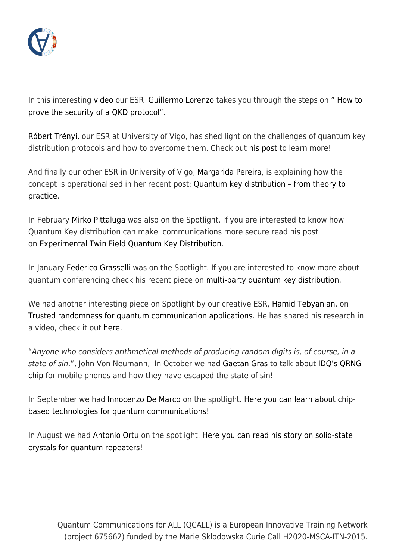

In this interesting [video o](http://www.qcall-itn.eu/2021/05/28/story-of-the-mon…f-a-qkd-protocol/ ‎)ur ESR [Guillermo Lorenzo](http://www.qcall-itn.eu/people/early-stage-researchers/guillermo-curras/) takes you through the steps on " [How to](http://www.qcall-itn.eu/2021/05/28/story-of-the-month-how-to-prove-the-security-of-a-qkd-protocol/) [prove the security of a QKD protocol](http://www.qcall-itn.eu/2021/05/28/story-of-the-month-how-to-prove-the-security-of-a-qkd-protocol/)".

[Róbert Trényi,](http://www.qcall-itn.eu/people/early-stage-researchers/r%c3%b3bert-tr%c3%a9nyi/) our ESR at University of Vigo, has shed light on the challenges of quantum key distribution protocols and how to overcome them. Check out [his post](http://www.qcall-itn.eu/2021/04/12/story-of-the-month-overcoming-the-limitations-of-quantum-key-distribution-protocols/) to learn more!

And finally our other ESR in University of Vigo, [Margarida Pereira](http://www.qcall-itn.eu/people/early-stage-researchers/margarida-pereira/), is explaining how the concept is operationalised in her recent post: [Quantum key distribution – from theory to](http://www.qcall-itn.eu/2021/01/11/story-of-the-month-quantum-key-distribution-from-theory-to-practice/) [practice](http://www.qcall-itn.eu/2021/01/11/story-of-the-month-quantum-key-distribution-from-theory-to-practice/).

In February [Mirko Pittaluga](http://www.qcall-itn.eu/mirko-pittaluga/) was also on the Spotlight. If you are interested to know how Quantum Key distribution can make communications more secure read his post on [Experimental Twin Field Quantum Key Distribution.](http://www.qcall-itn.eu/2020/01/29/story-of-the-month-experimental-tf-qkd/)

In January [Federico Grasselli](http://www.qcall-itn.eu/federico-grasselli/) was on the Spotlight. If you are interested to know more about quantum conferencing check his recent piece on [multi-party quantum key distribution.](http://www.qcall-itn.eu/2020/01/27/story-of-the-month-quantum-conferencing/)

We had another interesting piece on Spotlight by our creative ESR, [Hamid Tebyanian](http://www.qcall-itn.eu/people/early-stage-researchers/), on [Trusted randomness for quantum communication applications.](http://www.qcall-itn.eu/2021/01/08/spotlight-article-story-of-the-month-qrng/) He has shared his research in a video, check it out [here](http://www.qcall-itn.eu/2021/01/08/spotlight-article-story-of-the-month-qrng/).

"Anyone who considers arithmetical methods of producing random digits is, of course, in a state of sin.", John Von Neumann, In October we had [Gaetan Gras](http://www.qcall-itn.eu/people/early-stage-researchers/gaetan-gras/) to talk about [IDQ's QRNG](http://www.qcall-itn.eu/outreach/story-of-the-month-quantum-random-number-generator-in-mobile-phones/) [chip](http://www.qcall-itn.eu/outreach/story-of-the-month-quantum-random-number-generator-in-mobile-phones/) for mobile phones and how they have escaped the state of sin!

In September we had [Innocenzo De Marco](http://www.qcall-itn.eu/people/early-stage-researchers/innocenzo-de-marco/) on the spotlight. [Here you can learn about chip](http://www.qcall-itn.eu/2019/09/03/chip-based-technologies-for-quantum-communications/)[based technologies for quantum communications!](http://www.qcall-itn.eu/2019/09/03/chip-based-technologies-for-quantum-communications/)

In August we had [Antonio Ortu](http://www.qcall-itn.eu/people/early-stage-researchers/antonio-ortu/) on the spotlight. [Here you can read his story on solid-state](http://www.qcall-itn.eu/2019/08/15/solid-state-crystals-for-quantum-repeaters/) [crystals for quantum repeaters!](http://www.qcall-itn.eu/2019/08/15/solid-state-crystals-for-quantum-repeaters/)

Quantum Communications for ALL (QCALL) is a European Innovative Training Network (project 675662) funded by the Marie Sklodowska Curie Call H2020-MSCA-ITN-2015.